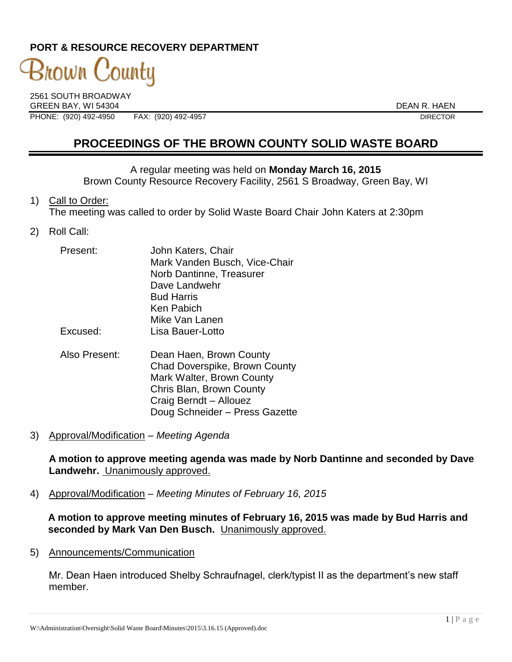# **PORT & RESOURCE RECOVERY DEPARTMENT**

# 3nown County

2561 SOUTH BROADWAY GREEN BAY, WI 54304 DEAN R. HAEN PHONE: (920) 492-4950 FAX: (920) 492-4957 FAX: (920) 492-4957

**PROCEEDINGS OF THE BROWN COUNTY SOLID WASTE BOARD**

#### A regular meeting was held on **Monday March 16, 2015**

Brown County Resource Recovery Facility, 2561 S Broadway, Green Bay, WI

#### 1) Call to Order:

The meeting was called to order by Solid Waste Board Chair John Katers at 2:30pm

2) Roll Call:

| Present:      | John Katers, Chair            |
|---------------|-------------------------------|
|               | Mark Vanden Busch, Vice-Chair |
|               | Norb Dantinne, Treasurer      |
|               | Dave Landwehr                 |
|               | <b>Bud Harris</b>             |
|               | Ken Pabich                    |
|               | Mike Van Lanen                |
| Excused:      | Lisa Bauer-Lotto              |
| Also Present: | Dean Haen, Brown County       |

- Chad Doverspike, Brown County Mark Walter, Brown County Chris Blan, Brown County Craig Berndt – Allouez Doug Schneider – Press Gazette
- 3) Approval/Modification *Meeting Agenda*

**A motion to approve meeting agenda was made by Norb Dantinne and seconded by Dave Landwehr.** Unanimously approved.

4) Approval/Modification – *Meeting Minutes of February 16, 2015*

**A motion to approve meeting minutes of February 16, 2015 was made by Bud Harris and seconded by Mark Van Den Busch.** Unanimously approved.

5) Announcements/Communication

Mr. Dean Haen introduced Shelby Schraufnagel, clerk/typist II as the department's new staff member.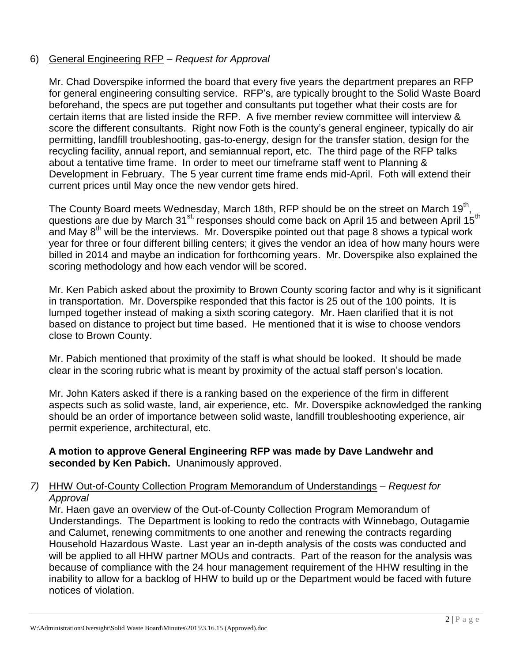# 6) General Engineering RFP – *Request for Approval*

Mr. Chad Doverspike informed the board that every five years the department prepares an RFP for general engineering consulting service. RFP's, are typically brought to the Solid Waste Board beforehand, the specs are put together and consultants put together what their costs are for certain items that are listed inside the RFP. A five member review committee will interview & score the different consultants. Right now Foth is the county's general engineer, typically do air permitting, landfill troubleshooting, gas-to-energy, design for the transfer station, design for the recycling facility, annual report, and semiannual report, etc. The third page of the RFP talks about a tentative time frame. In order to meet our timeframe staff went to Planning & Development in February. The 5 year current time frame ends mid-April. Foth will extend their current prices until May once the new vendor gets hired.

The County Board meets Wednesday, March 18th, RFP should be on the street on March 19<sup>th</sup>, , questions are due by March 31 $^{\rm st}$  responses should come back on April 15 and between April 15<sup>th</sup> and May  $8<sup>th</sup>$  will be the interviews. Mr. Doverspike pointed out that page 8 shows a typical work year for three or four different billing centers; it gives the vendor an idea of how many hours were billed in 2014 and maybe an indication for forthcoming years. Mr. Doverspike also explained the scoring methodology and how each vendor will be scored.

Mr. Ken Pabich asked about the proximity to Brown County scoring factor and why is it significant in transportation. Mr. Doverspike responded that this factor is 25 out of the 100 points. It is lumped together instead of making a sixth scoring category. Mr. Haen clarified that it is not based on distance to project but time based. He mentioned that it is wise to choose vendors close to Brown County.

Mr. Pabich mentioned that proximity of the staff is what should be looked. It should be made clear in the scoring rubric what is meant by proximity of the actual staff person's location.

Mr. John Katers asked if there is a ranking based on the experience of the firm in different aspects such as solid waste, land, air experience, etc. Mr. Doverspike acknowledged the ranking should be an order of importance between solid waste, landfill troubleshooting experience, air permit experience, architectural, etc.

**A motion to approve General Engineering RFP was made by Dave Landwehr and seconded by Ken Pabich.** Unanimously approved.

#### *7)* HHW Out-of-County Collection Program Memorandum of Understandings – *Request for Approval*

Mr. Haen gave an overview of the Out-of-County Collection Program Memorandum of Understandings. The Department is looking to redo the contracts with Winnebago, Outagamie and Calumet, renewing commitments to one another and renewing the contracts regarding Household Hazardous Waste. Last year an in-depth analysis of the costs was conducted and will be applied to all HHW partner MOUs and contracts. Part of the reason for the analysis was because of compliance with the 24 hour management requirement of the HHW resulting in the inability to allow for a backlog of HHW to build up or the Department would be faced with future notices of violation.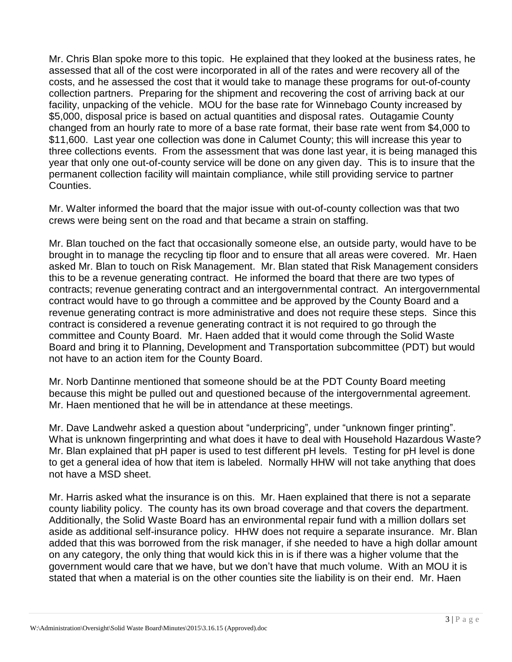Mr. Chris Blan spoke more to this topic. He explained that they looked at the business rates, he assessed that all of the cost were incorporated in all of the rates and were recovery all of the costs, and he assessed the cost that it would take to manage these programs for out-of-county collection partners. Preparing for the shipment and recovering the cost of arriving back at our facility, unpacking of the vehicle. MOU for the base rate for Winnebago County increased by \$5,000, disposal price is based on actual quantities and disposal rates. Outagamie County changed from an hourly rate to more of a base rate format, their base rate went from \$4,000 to \$11,600. Last year one collection was done in Calumet County; this will increase this year to three collections events. From the assessment that was done last year, it is being managed this year that only one out-of-county service will be done on any given day. This is to insure that the permanent collection facility will maintain compliance, while still providing service to partner Counties.

Mr. Walter informed the board that the major issue with out-of-county collection was that two crews were being sent on the road and that became a strain on staffing.

Mr. Blan touched on the fact that occasionally someone else, an outside party, would have to be brought in to manage the recycling tip floor and to ensure that all areas were covered. Mr. Haen asked Mr. Blan to touch on Risk Management. Mr. Blan stated that Risk Management considers this to be a revenue generating contract. He informed the board that there are two types of contracts; revenue generating contract and an intergovernmental contract. An intergovernmental contract would have to go through a committee and be approved by the County Board and a revenue generating contract is more administrative and does not require these steps. Since this contract is considered a revenue generating contract it is not required to go through the committee and County Board. Mr. Haen added that it would come through the Solid Waste Board and bring it to Planning, Development and Transportation subcommittee (PDT) but would not have to an action item for the County Board.

Mr. Norb Dantinne mentioned that someone should be at the PDT County Board meeting because this might be pulled out and questioned because of the intergovernmental agreement. Mr. Haen mentioned that he will be in attendance at these meetings.

Mr. Dave Landwehr asked a question about "underpricing", under "unknown finger printing". What is unknown fingerprinting and what does it have to deal with Household Hazardous Waste? Mr. Blan explained that pH paper is used to test different pH levels. Testing for pH level is done to get a general idea of how that item is labeled. Normally HHW will not take anything that does not have a MSD sheet.

Mr. Harris asked what the insurance is on this. Mr. Haen explained that there is not a separate county liability policy. The county has its own broad coverage and that covers the department. Additionally, the Solid Waste Board has an environmental repair fund with a million dollars set aside as additional self-insurance policy. HHW does not require a separate insurance. Mr. Blan added that this was borrowed from the risk manager, if she needed to have a high dollar amount on any category, the only thing that would kick this in is if there was a higher volume that the government would care that we have, but we don't have that much volume. With an MOU it is stated that when a material is on the other counties site the liability is on their end. Mr. Haen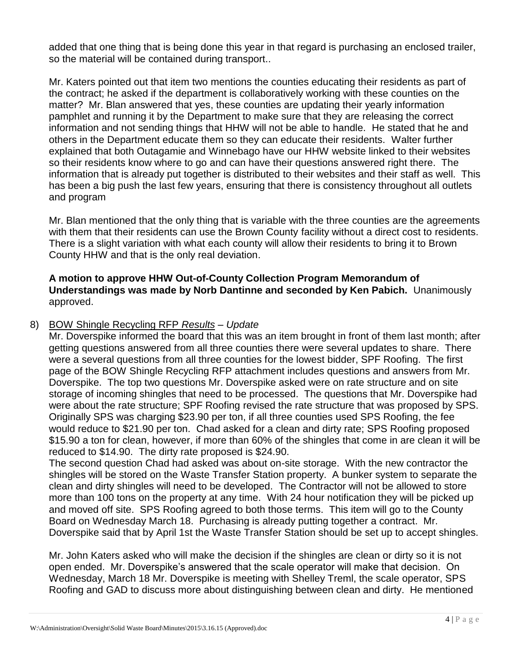added that one thing that is being done this year in that regard is purchasing an enclosed trailer, so the material will be contained during transport..

Mr. Katers pointed out that item two mentions the counties educating their residents as part of the contract; he asked if the department is collaboratively working with these counties on the matter? Mr. Blan answered that yes, these counties are updating their yearly information pamphlet and running it by the Department to make sure that they are releasing the correct information and not sending things that HHW will not be able to handle. He stated that he and others in the Department educate them so they can educate their residents. Walter further explained that both Outagamie and Winnebago have our HHW website linked to their websites so their residents know where to go and can have their questions answered right there. The information that is already put together is distributed to their websites and their staff as well. This has been a big push the last few years, ensuring that there is consistency throughout all outlets and program

Mr. Blan mentioned that the only thing that is variable with the three counties are the agreements with them that their residents can use the Brown County facility without a direct cost to residents. There is a slight variation with what each county will allow their residents to bring it to Brown County HHW and that is the only real deviation.

#### **A motion to approve HHW Out-of-County Collection Program Memorandum of Understandings was made by Norb Dantinne and seconded by Ken Pabich.** Unanimously approved.

#### 8) BOW Shingle Recycling RFP *Results – Update*

Mr. Doverspike informed the board that this was an item brought in front of them last month; after getting questions answered from all three counties there were several updates to share. There were a several questions from all three counties for the lowest bidder, SPF Roofing. The first page of the BOW Shingle Recycling RFP attachment includes questions and answers from Mr. Doverspike. The top two questions Mr. Doverspike asked were on rate structure and on site storage of incoming shingles that need to be processed. The questions that Mr. Doverspike had were about the rate structure; SPF Roofing revised the rate structure that was proposed by SPS. Originally SPS was charging \$23.90 per ton, if all three counties used SPS Roofing, the fee would reduce to \$21.90 per ton. Chad asked for a clean and dirty rate; SPS Roofing proposed \$15.90 a ton for clean, however, if more than 60% of the shingles that come in are clean it will be reduced to \$14.90. The dirty rate proposed is \$24.90.

The second question Chad had asked was about on-site storage. With the new contractor the shingles will be stored on the Waste Transfer Station property. A bunker system to separate the clean and dirty shingles will need to be developed. The Contractor will not be allowed to store more than 100 tons on the property at any time. With 24 hour notification they will be picked up and moved off site. SPS Roofing agreed to both those terms. This item will go to the County Board on Wednesday March 18. Purchasing is already putting together a contract. Mr. Doverspike said that by April 1st the Waste Transfer Station should be set up to accept shingles.

Mr. John Katers asked who will make the decision if the shingles are clean or dirty so it is not open ended. Mr. Doverspike's answered that the scale operator will make that decision. On Wednesday, March 18 Mr. Doverspike is meeting with Shelley Treml, the scale operator, SPS Roofing and GAD to discuss more about distinguishing between clean and dirty. He mentioned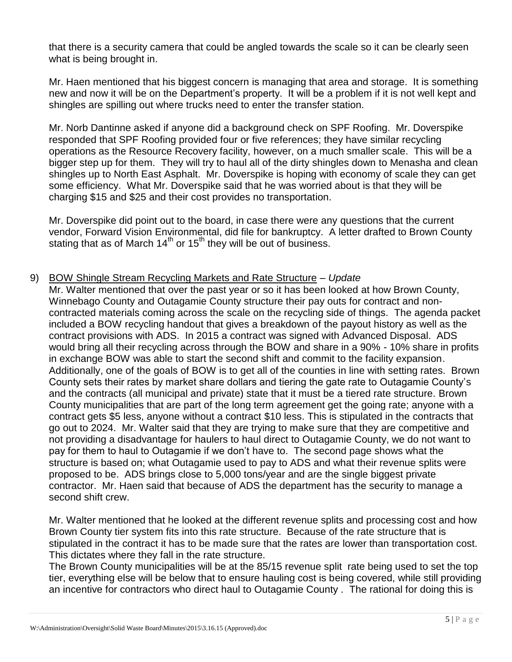that there is a security camera that could be angled towards the scale so it can be clearly seen what is being brought in.

Mr. Haen mentioned that his biggest concern is managing that area and storage. It is something new and now it will be on the Department's property. It will be a problem if it is not well kept and shingles are spilling out where trucks need to enter the transfer station.

Mr. Norb Dantinne asked if anyone did a background check on SPF Roofing. Mr. Doverspike responded that SPF Roofing provided four or five references; they have similar recycling operations as the Resource Recovery facility, however, on a much smaller scale. This will be a bigger step up for them. They will try to haul all of the dirty shingles down to Menasha and clean shingles up to North East Asphalt. Mr. Doverspike is hoping with economy of scale they can get some efficiency. What Mr. Doverspike said that he was worried about is that they will be charging \$15 and \$25 and their cost provides no transportation.

Mr. Doverspike did point out to the board, in case there were any questions that the current vendor, Forward Vision Environmental, did file for bankruptcy. A letter drafted to Brown County stating that as of March  $14<sup>th</sup>$  or  $15<sup>th</sup>$  they will be out of business.

#### 9) BOW Shingle Stream Recycling Markets and Rate Structure – *Update*

Mr. Walter mentioned that over the past year or so it has been looked at how Brown County, Winnebago County and Outagamie County structure their pay outs for contract and noncontracted materials coming across the scale on the recycling side of things. The agenda packet included a BOW recycling handout that gives a breakdown of the payout history as well as the contract provisions with ADS. In 2015 a contract was signed with Advanced Disposal. ADS would bring all their recycling across through the BOW and share in a 90% - 10% share in profits in exchange BOW was able to start the second shift and commit to the facility expansion. Additionally, one of the goals of BOW is to get all of the counties in line with setting rates. Brown County sets their rates by market share dollars and tiering the gate rate to Outagamie County's and the contracts (all municipal and private) state that it must be a tiered rate structure. Brown County municipalities that are part of the long term agreement get the going rate; anyone with a contract gets \$5 less, anyone without a contract \$10 less. This is stipulated in the contracts that go out to 2024. Mr. Walter said that they are trying to make sure that they are competitive and not providing a disadvantage for haulers to haul direct to Outagamie County, we do not want to pay for them to haul to Outagamie if we don't have to. The second page shows what the structure is based on; what Outagamie used to pay to ADS and what their revenue splits were proposed to be. ADS brings close to 5,000 tons/year and are the single biggest private contractor. Mr. Haen said that because of ADS the department has the security to manage a second shift crew.

Mr. Walter mentioned that he looked at the different revenue splits and processing cost and how Brown County tier system fits into this rate structure. Because of the rate structure that is stipulated in the contract it has to be made sure that the rates are lower than transportation cost. This dictates where they fall in the rate structure.

The Brown County municipalities will be at the 85/15 revenue split rate being used to set the top tier, everything else will be below that to ensure hauling cost is being covered, while still providing an incentive for contractors who direct haul to Outagamie County . The rational for doing this is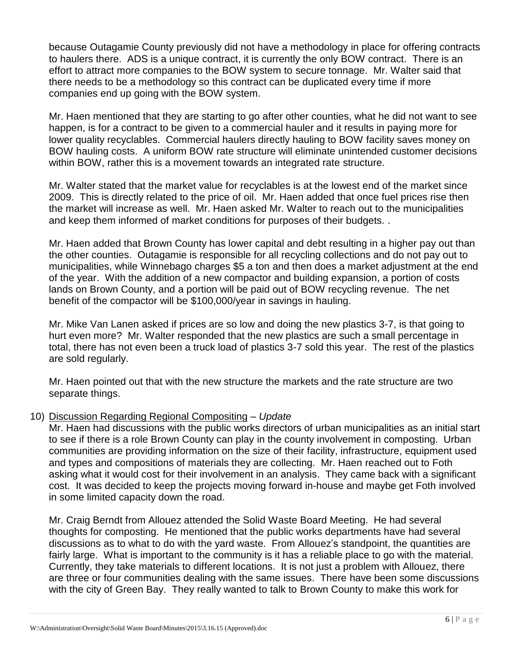because Outagamie County previously did not have a methodology in place for offering contracts to haulers there. ADS is a unique contract, it is currently the only BOW contract. There is an effort to attract more companies to the BOW system to secure tonnage. Mr. Walter said that there needs to be a methodology so this contract can be duplicated every time if more companies end up going with the BOW system.

Mr. Haen mentioned that they are starting to go after other counties, what he did not want to see happen, is for a contract to be given to a commercial hauler and it results in paying more for lower quality recyclables. Commercial haulers directly hauling to BOW facility saves money on BOW hauling costs. A uniform BOW rate structure will eliminate unintended customer decisions within BOW, rather this is a movement towards an integrated rate structure.

Mr. Walter stated that the market value for recyclables is at the lowest end of the market since 2009. This is directly related to the price of oil. Mr. Haen added that once fuel prices rise then the market will increase as well. Mr. Haen asked Mr. Walter to reach out to the municipalities and keep them informed of market conditions for purposes of their budgets. .

Mr. Haen added that Brown County has lower capital and debt resulting in a higher pay out than the other counties. Outagamie is responsible for all recycling collections and do not pay out to municipalities, while Winnebago charges \$5 a ton and then does a market adjustment at the end of the year. With the addition of a new compactor and building expansion, a portion of costs lands on Brown County, and a portion will be paid out of BOW recycling revenue. The net benefit of the compactor will be \$100,000/year in savings in hauling.

Mr. Mike Van Lanen asked if prices are so low and doing the new plastics 3-7, is that going to hurt even more? Mr. Walter responded that the new plastics are such a small percentage in total, there has not even been a truck load of plastics 3-7 sold this year. The rest of the plastics are sold regularly.

Mr. Haen pointed out that with the new structure the markets and the rate structure are two separate things.

# 10) Discussion Regarding Regional Compositing – *Update*

Mr. Haen had discussions with the public works directors of urban municipalities as an initial start to see if there is a role Brown County can play in the county involvement in composting. Urban communities are providing information on the size of their facility, infrastructure, equipment used and types and compositions of materials they are collecting. Mr. Haen reached out to Foth asking what it would cost for their involvement in an analysis. They came back with a significant cost. It was decided to keep the projects moving forward in-house and maybe get Foth involved in some limited capacity down the road.

Mr. Craig Berndt from Allouez attended the Solid Waste Board Meeting. He had several thoughts for composting. He mentioned that the public works departments have had several discussions as to what to do with the yard waste. From Allouez's standpoint, the quantities are fairly large. What is important to the community is it has a reliable place to go with the material. Currently, they take materials to different locations. It is not just a problem with Allouez, there are three or four communities dealing with the same issues. There have been some discussions with the city of Green Bay. They really wanted to talk to Brown County to make this work for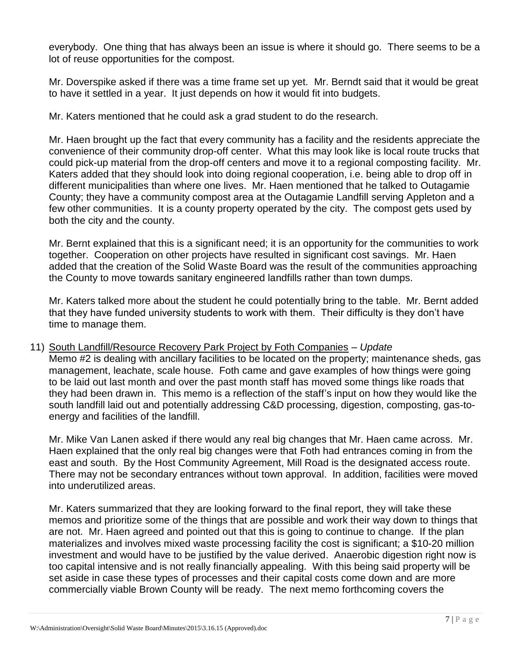everybody. One thing that has always been an issue is where it should go. There seems to be a lot of reuse opportunities for the compost.

Mr. Doverspike asked if there was a time frame set up yet. Mr. Berndt said that it would be great to have it settled in a year. It just depends on how it would fit into budgets.

Mr. Katers mentioned that he could ask a grad student to do the research.

Mr. Haen brought up the fact that every community has a facility and the residents appreciate the convenience of their community drop-off center. What this may look like is local route trucks that could pick-up material from the drop-off centers and move it to a regional composting facility. Mr. Katers added that they should look into doing regional cooperation, i.e. being able to drop off in different municipalities than where one lives. Mr. Haen mentioned that he talked to Outagamie County; they have a community compost area at the Outagamie Landfill serving Appleton and a few other communities. It is a county property operated by the city. The compost gets used by both the city and the county.

Mr. Bernt explained that this is a significant need; it is an opportunity for the communities to work together. Cooperation on other projects have resulted in significant cost savings. Mr. Haen added that the creation of the Solid Waste Board was the result of the communities approaching the County to move towards sanitary engineered landfills rather than town dumps.

Mr. Katers talked more about the student he could potentially bring to the table. Mr. Bernt added that they have funded university students to work with them. Their difficulty is they don't have time to manage them.

11) South Landfill/Resource Recovery Park Project by Foth Companies – *Update* 

Memo #2 is dealing with ancillary facilities to be located on the property; maintenance sheds, gas management, leachate, scale house. Foth came and gave examples of how things were going to be laid out last month and over the past month staff has moved some things like roads that they had been drawn in. This memo is a reflection of the staff's input on how they would like the south landfill laid out and potentially addressing C&D processing, digestion, composting, gas-toenergy and facilities of the landfill.

Mr. Mike Van Lanen asked if there would any real big changes that Mr. Haen came across. Mr. Haen explained that the only real big changes were that Foth had entrances coming in from the east and south. By the Host Community Agreement, Mill Road is the designated access route. There may not be secondary entrances without town approval. In addition, facilities were moved into underutilized areas.

Mr. Katers summarized that they are looking forward to the final report, they will take these memos and prioritize some of the things that are possible and work their way down to things that are not. Mr. Haen agreed and pointed out that this is going to continue to change. If the plan materializes and involves mixed waste processing facility the cost is significant; a \$10-20 million investment and would have to be justified by the value derived. Anaerobic digestion right now is too capital intensive and is not really financially appealing. With this being said property will be set aside in case these types of processes and their capital costs come down and are more commercially viable Brown County will be ready. The next memo forthcoming covers the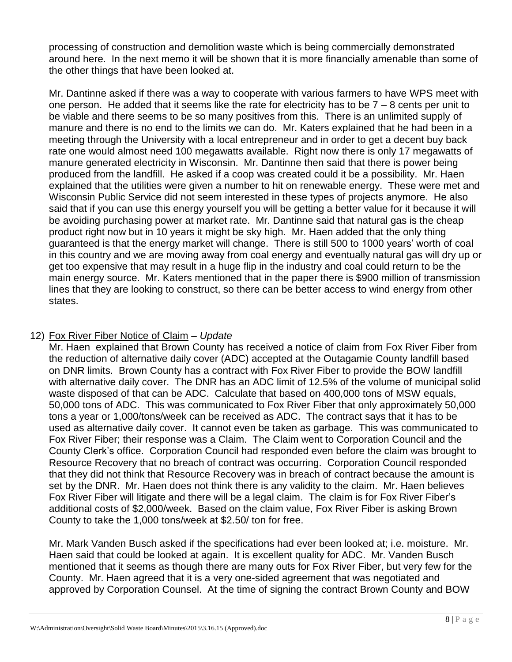processing of construction and demolition waste which is being commercially demonstrated around here. In the next memo it will be shown that it is more financially amenable than some of the other things that have been looked at.

Mr. Dantinne asked if there was a way to cooperate with various farmers to have WPS meet with one person. He added that it seems like the rate for electricity has to be  $7 - 8$  cents per unit to be viable and there seems to be so many positives from this. There is an unlimited supply of manure and there is no end to the limits we can do. Mr. Katers explained that he had been in a meeting through the University with a local entrepreneur and in order to get a decent buy back rate one would almost need 100 megawatts available. Right now there is only 17 megawatts of manure generated electricity in Wisconsin. Mr. Dantinne then said that there is power being produced from the landfill. He asked if a coop was created could it be a possibility. Mr. Haen explained that the utilities were given a number to hit on renewable energy. These were met and Wisconsin Public Service did not seem interested in these types of projects anymore. He also said that if you can use this energy yourself you will be getting a better value for it because it will be avoiding purchasing power at market rate. Mr. Dantinne said that natural gas is the cheap product right now but in 10 years it might be sky high. Mr. Haen added that the only thing guaranteed is that the energy market will change. There is still 500 to 1000 years' worth of coal in this country and we are moving away from coal energy and eventually natural gas will dry up or get too expensive that may result in a huge flip in the industry and coal could return to be the main energy source. Mr. Katers mentioned that in the paper there is \$900 million of transmission lines that they are looking to construct, so there can be better access to wind energy from other states.

# 12) Fox River Fiber Notice of Claim – *Update*

Mr. Haen explained that Brown County has received a notice of claim from Fox River Fiber from the reduction of alternative daily cover (ADC) accepted at the Outagamie County landfill based on DNR limits. Brown County has a contract with Fox River Fiber to provide the BOW landfill with alternative daily cover. The DNR has an ADC limit of 12.5% of the volume of municipal solid waste disposed of that can be ADC. Calculate that based on 400,000 tons of MSW equals, 50,000 tons of ADC. This was communicated to Fox River Fiber that only approximately 50,000 tons a year or 1,000/tons/week can be received as ADC. The contract says that it has to be used as alternative daily cover. It cannot even be taken as garbage. This was communicated to Fox River Fiber; their response was a Claim. The Claim went to Corporation Council and the County Clerk's office. Corporation Council had responded even before the claim was brought to Resource Recovery that no breach of contract was occurring. Corporation Council responded that they did not think that Resource Recovery was in breach of contract because the amount is set by the DNR. Mr. Haen does not think there is any validity to the claim. Mr. Haen believes Fox River Fiber will litigate and there will be a legal claim. The claim is for Fox River Fiber's additional costs of \$2,000/week. Based on the claim value, Fox River Fiber is asking Brown County to take the 1,000 tons/week at \$2.50/ ton for free.

Mr. Mark Vanden Busch asked if the specifications had ever been looked at; i.e. moisture. Mr. Haen said that could be looked at again. It is excellent quality for ADC. Mr. Vanden Busch mentioned that it seems as though there are many outs for Fox River Fiber, but very few for the County. Mr. Haen agreed that it is a very one-sided agreement that was negotiated and approved by Corporation Counsel. At the time of signing the contract Brown County and BOW